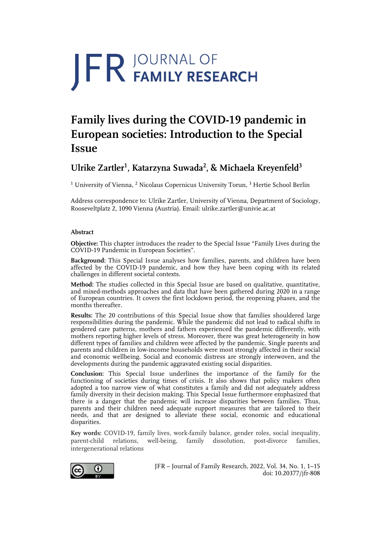# **JFR JOURNAL OF**

# **Family lives during the COVID-19 pandemic in European societies: Introduction to the Special Issue**

## Ulrike Zartler<sup>1</sup>, Katarzyna Suwada<sup>2</sup>, & Michaela Kreyenfeld<sup>3</sup>

<sup>1</sup> University of Vienna, <sup>2</sup> Nicolaus Copernicus University Torun, <sup>3</sup> Hertie School Berlin

Address correspondence to: Ulrike Zartler, University of Vienna, Department of Sociology, Rooseveltplatz 2, 1090 Vienna (Austria). Email: ulrike.zartler@univie.ac.at

#### **Abstract**

**Objective:** This chapter introduces the reader to the Special Issue "Family Lives during the COVID-19 Pandemic in European Societies".

**Background:** This Special Issue analyses how families, parents, and children have been affected by the COVID-19 pandemic, and how they have been coping with its related challenges in different societal contexts.

**Method:** The studies collected in this Special Issue are based on qualitative, quantitative, and mixed-methods approaches and data that have been gathered during 2020 in a range of European countries. It covers the first lockdown period, the reopening phases, and the months thereafter.

**Results:** The 20 contributions of this Special Issue show that families shouldered large responsibilities during the pandemic. While the pandemic did not lead to radical shifts in gendered care patterns, mothers and fathers experienced the pandemic differently, with mothers reporting higher levels of stress. Moreover, there was great heterogeneity in how different types of families and children were affected by the pandemic. Single parents and parents and children in low-income households were most strongly affected in their social and economic wellbeing. Social and economic distress are strongly interwoven, and the developments during the pandemic aggravated existing social disparities.

**Conclusion:** This Special Issue underlines the importance of the family for the functioning of societies during times of crisis. It also shows that policy makers often adopted a too narrow view of what constitutes a family and did not adequately address family diversity in their decision making. This Special Issue furthermore emphasized that there is a danger that the pandemic will increase disparities between families. Thus, parents and their children need adequate support measures that are tailored to their needs, and that are designed to alleviate these social, economic and educational disparities.

**Key words:** COVID-19, family lives, work-family balance, gender roles, social inequality, parent-child relations, well-being, family dissolution, post-divorce families, intergenerational relations



JFR – Journal of Family Research, 2022, Vol. 34, No. 1, 1–15 doi: 10.20377/jfr-808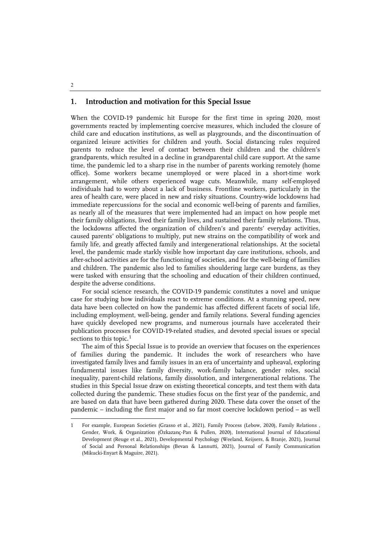#### **1. Introduction and motivation for this Special Issue**

When the COVID-19 pandemic hit Europe for the first time in spring 2020, most governments reacted by implementing coercive measures, which included the closure of child care and education institutions, as well as playgrounds, and the discontinuation of organized leisure activities for children and youth. Social distancing rules required parents to reduce the level of contact between their children and the children's grandparents, which resulted in a decline in grandparental child care support. At the same time, the pandemic led to a sharp rise in the number of parents working remotely (home office). Some workers became unemployed or were placed in a short-time work arrangement, while others experienced wage cuts. Meanwhile, many self-employed individuals had to worry about a lack of business. Frontline workers, particularly in the area of health care, were placed in new and risky situations. Country-wide lockdowns had immediate repercussions for the social and economic well-being of parents and families, as nearly all of the measures that were implemented had an impact on how people met their family obligations, lived their family lives, and sustained their family relations. Thus, the lockdowns affected the organization of children's and parents' everyday activities, caused parents' obligations to multiply, put new strains on the compatibility of work and family life, and greatly affected family and intergenerational relationships. At the societal level, the pandemic made starkly visible how important day care institutions, schools, and after-school activities are for the functioning of societies, and for the well-being of families and children. The pandemic also led to families shouldering large care burdens, as they were tasked with ensuring that the schooling and education of their children continued, despite the adverse conditions.

For social science research, the COVID-19 pandemic constitutes a novel and unique case for studying how individuals react to extreme conditions. At a stunning speed, new data have been collected on how the pandemic has affected different facets of social life, including employment, well-being, gender and family relations. Several funding agencies have quickly developed new programs, and numerous journals have accelerated their publication processes for COVID-19-related studies, and devoted special issues or special sections to this topic.<sup>[1](#page-1-0)</sup>

The aim of this Special Issue is to provide an overview that focuses on the experiences of families during the pandemic. It includes the work of researchers who have investigated family lives and family issues in an era of uncertainty and upheaval, exploring fundamental issues like family diversity, work-family balance, gender roles, social inequality, parent-child relations, family dissolution, and intergenerational relations. The studies in this Special Issue draw on existing theoretical concepts, and test them with data collected during the pandemic. These studies focus on the first year of the pandemic, and are based on data that have been gathered during 2020. These data cover the onset of the pandemic – including the first major and so far most coercive lockdown period – as well

2

 $\ddot{ }$ 

<span id="page-1-0"></span><sup>1</sup> For example, European Societies (Grasso et al., 2021), Family Process (Lebow, 2020), Family Relations , Gender, Work, & Organization (Özkazanç-Pan & Pullen, 2020), International Journal of Educational Development (Reuge et al., 2021), Developmental Psychology (Weeland, Keijsers, & Branje, 2021), Journal of Social and Personal Relationships (Bevan & Lannutti, 2021), Journal of Family Communication (Mikucki-Enyart & Maguire, 2021).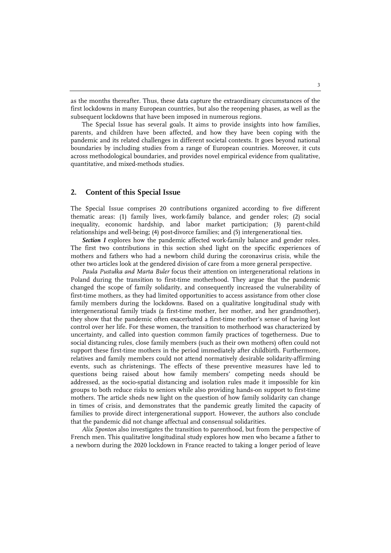as the months thereafter. Thus, these data capture the extraordinary circumstances of the first lockdowns in many European countries, but also the reopening phases, as well as the subsequent lockdowns that have been imposed in numerous regions.

The Special Issue has several goals. It aims to provide insights into how families, parents, and children have been affected, and how they have been coping with the pandemic and its related challenges in different societal contexts. It goes beyond national boundaries by including studies from a range of European countries. Moreover, it cuts across methodological boundaries, and provides novel empirical evidence from qualitative, quantitative, and mixed-methods studies.

### **2. Content of this Special Issue**

The Special Issue comprises 20 contributions organized according to five different thematic areas: (1) family lives, work-family balance, and gender roles; (2) social inequality, economic hardship, and labor market participation; (3) parent-child relationships and well-being; (4) post-divorce families; and (5) intergenerational ties.

*Section I* explores how the pandemic affected work-family balance and gender roles. The first two contributions in this section shed light on the specific experiences of mothers and fathers who had a newborn child during the coronavirus crisis, while the other two articles look at the gendered division of care from a more general perspective.

*Paula Pustułka and Marta Buler* focus their attention on intergenerational relations in Poland during the transition to first-time motherhood. They argue that the pandemic changed the scope of family solidarity, and consequently increased the vulnerability of first-time mothers, as they had limited opportunities to access assistance from other close family members during the lockdowns. Based on a qualitative longitudinal study with intergenerational family triads (a first-time mother, her mother, and her grandmother), they show that the pandemic often exacerbated a first-time mother's sense of having lost control over her life. For these women, the transition to motherhood was characterized by uncertainty, and called into question common family practices of togetherness. Due to social distancing rules, close family members (such as their own mothers) often could not support these first-time mothers in the period immediately after childbirth. Furthermore, relatives and family members could not attend normatively desirable solidarity-affirming events, such as christenings. The effects of these preventive measures have led to questions being raised about how family members' competing needs should be addressed, as the socio-spatial distancing and isolation rules made it impossible for kin groups to both reduce risks to seniors while also providing hands-on support to first-time mothers. The article sheds new light on the question of how family solidarity can change in times of crisis, and demonstrates that the pandemic greatly limited the capacity of families to provide direct intergenerational support. However, the authors also conclude that the pandemic did not change affectual and consensual solidarities.

*Alix Sponton* also investigates the transition to parenthood, but from the perspective of French men. This qualitative longitudinal study explores how men who became a father to a newborn during the 2020 lockdown in France reacted to taking a longer period of leave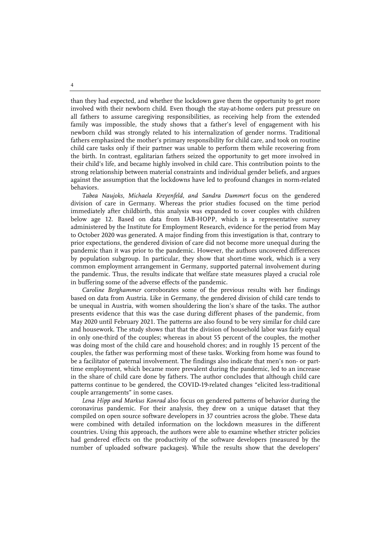than they had expected, and whether the lockdown gave them the opportunity to get more involved with their newborn child. Even though the stay-at-home orders put pressure on all fathers to assume caregiving responsibilities, as receiving help from the extended family was impossible, the study shows that a father's level of engagement with his newborn child was strongly related to his internalization of gender norms. Traditional fathers emphasized the mother's primary responsibility for child care, and took on routine child care tasks only if their partner was unable to perform them while recovering from the birth. In contrast, egalitarian fathers seized the opportunity to get more involved in their child's life, and became highly involved in child care. This contribution points to the strong relationship between material constraints and individual gender beliefs, and argues against the assumption that the lockdowns have led to profound changes in norm-related behaviors.

*Tabea Naujoks*, *Michaela Kreyenfeld*, *and Sandra Dummert* focus on the gendered division of care in Germany. Whereas the prior studies focused on the time period immediately after childbirth, this analysis was expanded to cover couples with children below age 12. Based on data from IAB-HOPP, which is a representative survey administered by the Institute for Employment Research, evidence for the period from May to October 2020 was generated. A major finding from this investigation is that, contrary to prior expectations, the gendered division of care did not become more unequal during the pandemic than it was prior to the pandemic. However, the authors uncovered differences by population subgroup. In particular, they show that short-time work, which is a very common employment arrangement in Germany, supported paternal involvement during the pandemic. Thus, the results indicate that welfare state measures played a crucial role in buffering some of the adverse effects of the pandemic.

*Caroline Berghammer* corroborates some of the previous results with her findings based on data from Austria. Like in Germany, the gendered division of child care tends to be unequal in Austria, with women shouldering the lion's share of the tasks. The author presents evidence that this was the case during different phases of the pandemic, from May 2020 until February 2021. The patterns are also found to be very similar for child care and housework. The study shows that that the division of household labor was fairly equal in only one-third of the couples; whereas in about 55 percent of the couples, the mother was doing most of the child care and household chores; and in roughly 15 percent of the couples, the father was performing most of these tasks. Working from home was found to be a facilitator of paternal involvement. The findings also indicate that men's non- or parttime employment, which became more prevalent during the pandemic, led to an increase in the share of child care done by fathers. The author concludes that although child care patterns continue to be gendered, the COVID-19-related changes "elicited less-traditional couple arrangements" in some cases.

*Lena Hipp and Markus Konrad* also focus on gendered patterns of behavior during the coronavirus pandemic. For their analysis, they drew on a unique dataset that they compiled on open source software developers in 37 countries across the globe. These data were combined with detailed information on the lockdown measures in the different countries. Using this approach, the authors were able to examine whether stricter policies had gendered effects on the productivity of the software developers (measured by the number of uploaded software packages). While the results show that the developers'

4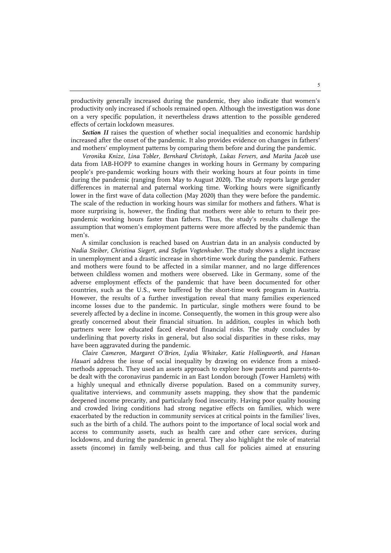productivity generally increased during the pandemic, they also indicate that women's productivity only increased if schools remained open. Although the investigation was done on a very specific population, it nevertheless draws attention to the possible gendered effects of certain lockdown measures.

*Section II* raises the question of whether social inequalities and economic hardship increased after the onset of the pandemic. It also provides evidence on changes in fathers' and mothers' employment patterns by comparing them before and during the pandemic.

*Veronika Knize, Lina Tobler, Bernhard Christoph, Lukas Fervers, and Marita Jacob* use data from IAB-HOPP to examine changes in working hours in Germany by comparing people's pre-pandemic working hours with their working hours at four points in time during the pandemic (ranging from May to August 2020). The study reports large gender differences in maternal and paternal working time. Working hours were significantly lower in the first wave of data collection (May 2020) than they were before the pandemic. The scale of the reduction in working hours was similar for mothers and fathers. What is more surprising is, however, the finding that mothers were able to return to their prepandemic working hours faster than fathers. Thus, the study's results challenge the assumption that women's employment patterns were more affected by the pandemic than men's.

A similar conclusion is reached based on Austrian data in an analysis conducted by *Nadia Steiber, Christina Siegert, and Stefan Vogtenhuber*. The study shows a slight increase in unemployment and a drastic increase in short-time work during the pandemic. Fathers and mothers were found to be affected in a similar manner, and no large differences between childless women and mothers were observed. Like in Germany, some of the adverse employment effects of the pandemic that have been documented for other countries, such as the U.S., were buffered by the short-time work program in Austria. However, the results of a further investigation reveal that many families experienced income losses due to the pandemic. In particular, single mothers were found to be severely affected by a decline in income. Consequently, the women in this group were also greatly concerned about their financial situation. In addition, couples in which both partners were low educated faced elevated financial risks. The study concludes by underlining that poverty risks in general, but also social disparities in these risks, may have been aggravated during the pandemic.

*Claire Cameron, Margaret O'Brien, Lydia Whitaker, Katie Hollingworth, and Hanan Hauari* address the issue of social inequality by drawing on evidence from a mixedmethods approach. They used an assets approach to explore how parents and parents-tobe dealt with the coronavirus pandemic in an East London borough (Tower Hamlets) with a highly unequal and ethnically diverse population. Based on a community survey, qualitative interviews, and community assets mapping, they show that the pandemic deepened income precarity, and particularly food insecurity. Having poor quality housing and crowded living conditions had strong negative effects on families, which were exacerbated by the reduction in community services at critical points in the families' lives, such as the birth of a child. The authors point to the importance of local social work and access to community assets, such as health care and other care services, during lockdowns, and during the pandemic in general. They also highlight the role of material assets (income) in family well-being, and thus call for policies aimed at ensuring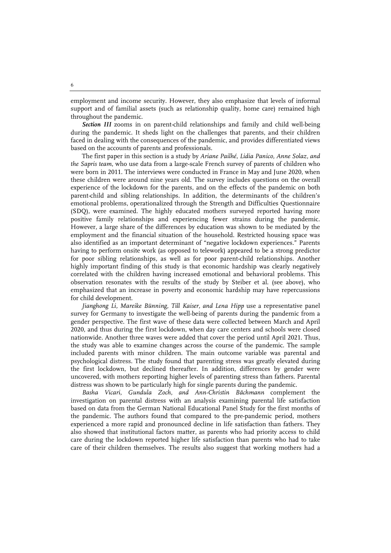employment and income security. However, they also emphasize that levels of informal support and of familial assets (such as relationship quality, home care) remained high throughout the pandemic.

*Section III* zooms in on parent-child relationships and family and child well-being during the pandemic. It sheds light on the challenges that parents, and their children faced in dealing with the consequences of the pandemic, and provides differentiated views based on the accounts of parents and professionals.

The first paper in this section is a study by *Ariane Pailhé, Lidia Panico, Anne Solaz, and the Sapris team*, who use data from a large-scale French survey of parents of children who were born in 2011. The interviews were conducted in France in May and June 2020, when these children were around nine years old. The survey includes questions on the overall experience of the lockdown for the parents, and on the effects of the pandemic on both parent-child and sibling relationships. In addition, the determinants of the children's emotional problems, operationalized through the Strength and Difficulties Questionnaire (SDQ), were examined. The highly educated mothers surveyed reported having more positive family relationships and experiencing fewer strains during the pandemic. However, a large share of the differences by education was shown to be mediated by the employment and the financial situation of the household. Restricted housing space was also identified as an important determinant of "negative lockdown experiences." Parents having to perform onsite work (as opposed to telework) appeared to be a strong predictor for poor sibling relationships, as well as for poor parent-child relationships. Another highly important finding of this study is that economic hardship was clearly negatively correlated with the children having increased emotional and behavioral problems. This observation resonates with the results of the study by Steiber et al. (see above), who emphasized that an increase in poverty and economic hardship may have repercussions for child development.

*Jianghong Li, Mareike Bünning, Till Kaiser, and Lena Hipp* use a representative panel survey for Germany to investigate the well-being of parents during the pandemic from a gender perspective. The first wave of these data were collected between March and April 2020, and thus during the first lockdown, when day care centers and schools were closed nationwide. Another three waves were added that cover the period until April 2021. Thus, the study was able to examine changes across the course of the pandemic. The sample included parents with minor children. The main outcome variable was parental and psychological distress. The study found that parenting stress was greatly elevated during the first lockdown, but declined thereafter. In addition, differences by gender were uncovered, with mothers reporting higher levels of parenting stress than fathers. Parental distress was shown to be particularly high for single parents during the pandemic.

*Basha Vicari, Gundula Zoch, and Ann-Christin Bächmann* complement the investigation on parental distress with an analysis examining parental life satisfaction based on data from the German National Educational Panel Study for the first months of the pandemic. The authors found that compared to the pre-pandemic period, mothers experienced a more rapid and pronounced decline in life satisfaction than fathers. They also showed that institutional factors matter, as parents who had priority access to child care during the lockdown reported higher life satisfaction than parents who had to take care of their children themselves. The results also suggest that working mothers had a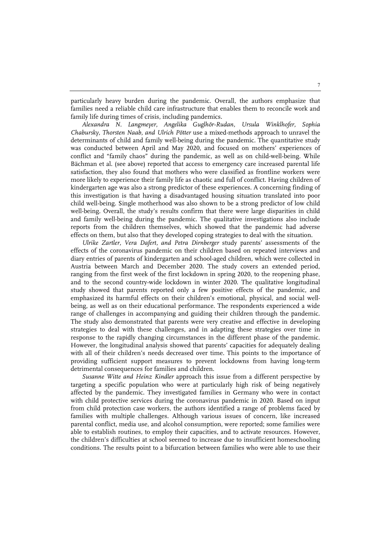particularly heavy burden during the pandemic. Overall, the authors emphasize that families need a reliable child care infrastructure that enables them to reconcile work and family life during times of crisis, including pandemics.

*Alexandra N. Langmeyer, Angelika Guglhör-Rudan, Ursula Winklhofer, Sophia Chabursky, Thorsten Naab, and Ulrich Pötter* use a mixed-methods approach to unravel the determinants of child and family well-being during the pandemic. The quantitative study was conducted between April and May 2020, and focused on mothers' experiences of conflict and "family chaos" during the pandemic, as well as on child-well-being. While Bächman et al. (see above) reported that access to emergency care increased parental life satisfaction, they also found that mothers who were classified as frontline workers were more likely to experience their family life as chaotic and full of conflict. Having children of kindergarten age was also a strong predictor of these experiences. A concerning finding of this investigation is that having a disadvantaged housing situation translated into poor child well-being. Single motherhood was also shown to be a strong predictor of low child well-being. Overall, the study's results confirm that there were large disparities in child and family well-being during the pandemic. The qualitative investigations also include reports from the children themselves, which showed that the pandemic had adverse effects on them, but also that they developed coping strategies to deal with the situation.

*Ulrike Zartler, Vera Dafert, and Petra Dirnberger* study parents' assessments of the effects of the coronavirus pandemic on their children based on repeated interviews and diary entries of parents of kindergarten and school-aged children, which were collected in Austria between March and December 2020. The study covers an extended period, ranging from the first week of the first lockdown in spring 2020, to the reopening phase, and to the second country-wide lockdown in winter 2020. The qualitative longitudinal study showed that parents reported only a few positive effects of the pandemic, and emphasized its harmful effects on their children's emotional, physical, and social wellbeing, as well as on their educational performance. The respondents experienced a wide range of challenges in accompanying and guiding their children through the pandemic. The study also demonstrated that parents were very creative and effective in developing strategies to deal with these challenges, and in adapting these strategies over time in response to the rapidly changing circumstances in the different phase of the pandemic. However, the longitudinal analysis showed that parents' capacities for adequately dealing with all of their children's needs decreased over time. This points to the importance of providing sufficient support measures to prevent lockdowns from having long-term detrimental consequences for families and children.

*Susanne Witte and Heinz Kindler* approach this issue from a different perspective by targeting a specific population who were at particularly high risk of being negatively affected by the pandemic. They investigated families in Germany who were in contact with child protective services during the coronavirus pandemic in 2020. Based on input from child protection case workers, the authors identified a range of problems faced by families with multiple challenges. Although various issues of concern, like increased parental conflict, media use, and alcohol consumption, were reported; some families were able to establish routines, to employ their capacities, and to activate resources. However, the children's difficulties at school seemed to increase due to insufficient homeschooling conditions. The results point to a bifurcation between families who were able to use their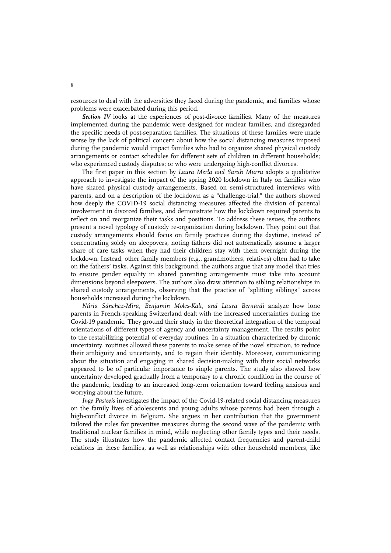resources to deal with the adversities they faced during the pandemic, and families whose problems were exacerbated during this period.

*Section IV* looks at the experiences of post-divorce families. Many of the measures implemented during the pandemic were designed for nuclear families, and disregarded the specific needs of post-separation families. The situations of these families were made worse by the lack of political concern about how the social distancing measures imposed during the pandemic would impact families who had to organize shared physical custody arrangements or contact schedules for different sets of children in different households; who experienced custody disputes; or who were undergoing high-conflict divorces.

The first paper in this section by *Laura Merla and Sarah Murru* adopts a qualitative approach to investigate the impact of the spring 2020 lockdown in Italy on families who have shared physical custody arrangements. Based on semi-structured interviews with parents, and on a description of the lockdown as a "challenge-trial," the authors showed how deeply the COVID-19 social distancing measures affected the division of parental involvement in divorced families, and demonstrate how the lockdown required parents to reflect on and reorganize their tasks and positions. To address these issues, the authors present a novel typology of custody re-organization during lockdown. They point out that custody arrangements should focus on family practices during the daytime, instead of concentrating solely on sleepovers, noting fathers did not automatically assume a larger share of care tasks when they had their children stay with them overnight during the lockdown. Instead, other family members (e.g., grandmothers, relatives) often had to take on the fathers' tasks. Against this background, the authors argue that any model that tries to ensure gender equality in shared parenting arrangements must take into account dimensions beyond sleepovers. The authors also draw attention to sibling relationships in shared custody arrangements, observing that the practice of "splitting siblings" across households increased during the lockdown.

*Núria Sánchez-Mira, Benjamin Moles-Kalt, and Laura Bernardi* analyze how lone parents in French-speaking Switzerland dealt with the increased uncertainties during the Covid-19 pandemic. They ground their study in the theoretical integration of the temporal orientations of different types of agency and uncertainty management. The results point to the restabilizing potential of everyday routines. In a situation characterized by chronic uncertainty, routines allowed these parents to make sense of the novel situation, to reduce their ambiguity and uncertainty, and to regain their identity. Moreover, communicating about the situation and engaging in shared decision-making with their social networks appeared to be of particular importance to single parents. The study also showed how uncertainty developed gradually from a temporary to a chronic condition in the course of the pandemic, leading to an increased long-term orientation toward feeling anxious and worrying about the future.

*Inge Pasteels* investigates the impact of the Covid-19-related social distancing measures on the family lives of adolescents and young adults whose parents had been through a high-conflict divorce in Belgium. She argues in her contribution that the government tailored the rules for preventive measures during the second wave of the pandemic with traditional nuclear families in mind, while neglecting other family types and their needs. The study illustrates how the pandemic affected contact frequencies and parent-child relations in these families, as well as relationships with other household members, like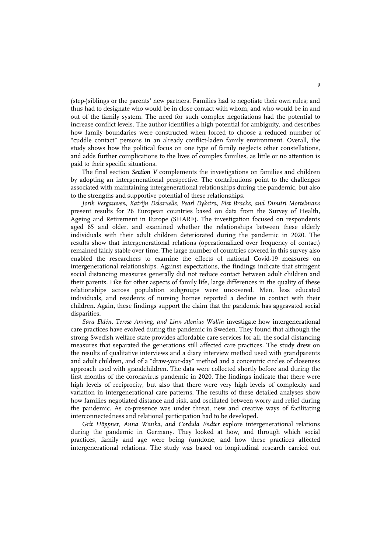(step-)siblings or the parents' new partners. Families had to negotiate their own rules; and thus had to designate who would be in close contact with whom, and who would be in and out of the family system. The need for such complex negotiations had the potential to increase conflict levels. The author identifies a high potential for ambiguity, and describes how family boundaries were constructed when forced to choose a reduced number of "cuddle contact" persons in an already conflict-laden family environment. Overall, the study shows how the political focus on one type of family neglects other constellations, and adds further complications to the lives of complex families, as little or no attention is paid to their specific situations.

The final section *Section V* complements the investigations on families and children by adopting an intergenerational perspective. The contributions point to the challenges associated with maintaining intergenerational relationships during the pandemic, but also to the strengths and supportive potential of these relationships.

*Jorik Vergauwen, Katrijn Delaruelle, Pearl Dykstra, Piet Bracke, and Dimitri Mortelmans* present results for 26 European countries based on data from the Survey of Health, Ageing and Retirement in Europe (SHARE). The investigation focused on respondents aged 65 and older, and examined whether the relationships between these elderly individuals with their adult children deteriorated during the pandemic in 2020. The results show that intergenerational relations (operationalized over frequency of contact) remained fairly stable over time. The large number of countries covered in this survey also enabled the researchers to examine the effects of national Covid-19 measures on intergenerational relationships. Against expectations, the findings indicate that stringent social distancing measures generally did not reduce contact between adult children and their parents. Like for other aspects of family life, large differences in the quality of these relationships across population subgroups were uncovered. Men, less educated individuals, and residents of nursing homes reported a decline in contact with their children. Again, these findings support the claim that the pandemic has aggravated social disparities.

*Sara Eldén, Terese Anving, and Linn Alenius Wallin* investigate how intergenerational care practices have evolved during the pandemic in Sweden. They found that although the strong Swedish welfare state provides affordable care services for all, the social distancing measures that separated the generations still affected care practices. The study drew on the results of qualitative interviews and a diary interview method used with grandparents and adult children, and of a "draw-your-day" method and a concentric circles of closeness approach used with grandchildren. The data were collected shortly before and during the first months of the coronavirus pandemic in 2020. The findings indicate that there were high levels of reciprocity, but also that there were very high levels of complexity and variation in intergenerational care patterns. The results of these detailed analyses show how families negotiated distance and risk, and oscillated between worry and relief during the pandemic. As co-presence was under threat, new and creative ways of facilitating interconnectedness and relational participation had to be developed.

*Grit Höppner, Anna Wanka, and Cordula Endter* explore intergenerational relations during the pandemic in Germany. They looked at how, and through which social practices, family and age were being (un)done, and how these practices affected intergenerational relations. The study was based on longitudinal research carried out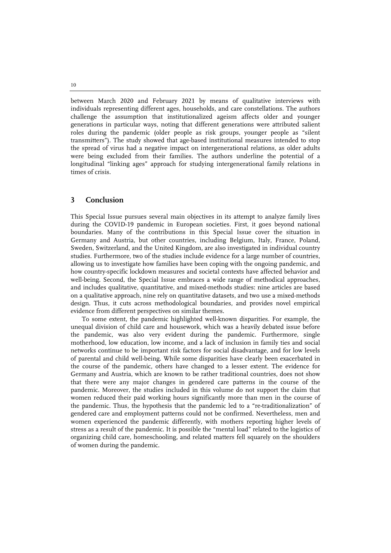between March 2020 and February 2021 by means of qualitative interviews with individuals representing different ages, households, and care constellations. The authors challenge the assumption that institutionalized ageism affects older and younger generations in particular ways, noting that different generations were attributed salient roles during the pandemic (older people as risk groups, younger people as "silent transmitters"). The study showed that age-based institutional measures intended to stop the spread of virus had a negative impact on intergenerational relations, as older adults were being excluded from their families. The authors underline the potential of a longitudinal "linking ages" approach for studying intergenerational family relations in times of crisis.

## **3 Conclusion**

This Special Issue pursues several main objectives in its attempt to analyze family lives during the COVID-19 pandemic in European societies. First, it goes beyond national boundaries. Many of the contributions in this Special Issue cover the situation in Germany and Austria, but other countries, including Belgium, Italy, France, Poland, Sweden, Switzerland, and the United Kingdom, are also investigated in individual country studies. Furthermore, two of the studies include evidence for a large number of countries, allowing us to investigate how families have been coping with the ongoing pandemic, and how country-specific lockdown measures and societal contexts have affected behavior and well-being. Second, the Special Issue embraces a wide range of methodical approaches, and includes qualitative, quantitative, and mixed-methods studies: nine articles are based on a qualitative approach, nine rely on quantitative datasets, and two use a mixed-methods design. Thus, it cuts across methodological boundaries, and provides novel empirical evidence from different perspectives on similar themes.

To some extent, the pandemic highlighted well-known disparities. For example, the unequal division of child care and housework, which was a heavily debated issue before the pandemic, was also very evident during the pandemic. Furthermore, single motherhood, low education, low income, and a lack of inclusion in family ties and social networks continue to be important risk factors for social disadvantage, and for low levels of parental and child well-being. While some disparities have clearly been exacerbated in the course of the pandemic, others have changed to a lesser extent. The evidence for Germany and Austria, which are known to be rather traditional countries, does not show that there were any major changes in gendered care patterns in the course of the pandemic. Moreover, the studies included in this volume do not support the claim that women reduced their paid working hours significantly more than men in the course of the pandemic. Thus, the hypothesis that the pandemic led to a "re-traditionalization" of gendered care and employment patterns could not be confirmed. Nevertheless, men and women experienced the pandemic differently, with mothers reporting higher levels of stress as a result of the pandemic. It is possible the "mental load" related to the logistics of organizing child care, homeschooling, and related matters fell squarely on the shoulders of women during the pandemic.

10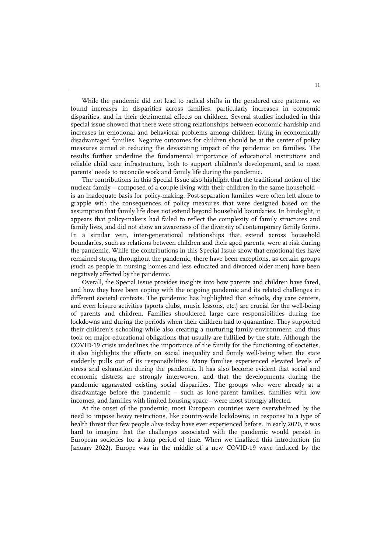While the pandemic did not lead to radical shifts in the gendered care patterns, we found increases in disparities across families, particularly increases in economic disparities, and in their detrimental effects on children. Several studies included in this special issue showed that there were strong relationships between economic hardship and increases in emotional and behavioral problems among children living in economically disadvantaged families. Negative outcomes for children should be at the center of policy measures aimed at reducing the devastating impact of the pandemic on families. The results further underline the fundamental importance of educational institutions and reliable child care infrastructure, both to support children's development, and to meet parents' needs to reconcile work and family life during the pandemic.

The contributions in this Special Issue also highlight that the traditional notion of the nuclear family – composed of a couple living with their children in the same household – is an inadequate basis for policy-making. Post-separation families were often left alone to grapple with the consequences of policy measures that were designed based on the assumption that family life does not extend beyond household boundaries. In hindsight, it appears that policy-makers had failed to reflect the complexity of family structures and family lives, and did not show an awareness of the diversity of contemporary family forms. In a similar vein, inter-generational relationships that extend across household boundaries, such as relations between children and their aged parents, were at risk during the pandemic. While the contributions in this Special Issue show that emotional ties have remained strong throughout the pandemic, there have been exceptions, as certain groups (such as people in nursing homes and less educated and divorced older men) have been negatively affected by the pandemic.

Overall, the Special Issue provides insights into how parents and children have fared, and how they have been coping with the ongoing pandemic and its related challenges in different societal contexts. The pandemic has highlighted that schools, day care centers, and even leisure activities (sports clubs, music lessons, etc.) are crucial for the well-being of parents and children. Families shouldered large care responsibilities during the lockdowns and during the periods when their children had to quarantine. They supported their children's schooling while also creating a nurturing family environment, and thus took on major educational obligations that usually are fulfilled by the state. Although the COVID-19 crisis underlines the importance of the family for the functioning of societies, it also highlights the effects on social inequality and family well-being when the state suddenly pulls out of its responsibilities. Many families experienced elevated levels of stress and exhaustion during the pandemic. It has also become evident that social and economic distress are strongly interwoven, and that the developments during the pandemic aggravated existing social disparities. The groups who were already at a disadvantage before the pandemic – such as lone-parent families, families with low incomes, and families with limited housing space – were most strongly affected.

At the onset of the pandemic, most European countries were overwhelmed by the need to impose heavy restrictions, like country-wide lockdowns, in response to a type of health threat that few people alive today have ever experienced before. In early 2020, it was hard to imagine that the challenges associated with the pandemic would persist in European societies for a long period of time. When we finalized this introduction (in January 2022), Europe was in the middle of a new COVID-19 wave induced by the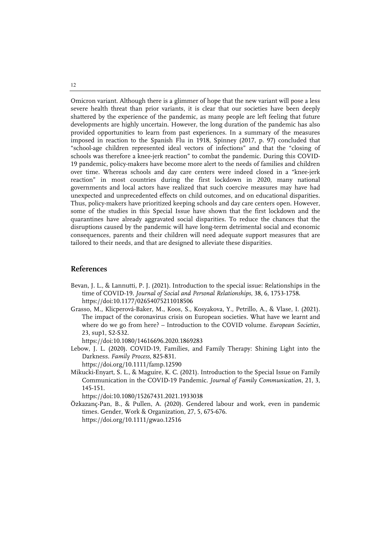Omicron variant. Although there is a glimmer of hope that the new variant will pose a less severe health threat than prior variants, it is clear that our societies have been deeply shattered by the experience of the pandemic, as many people are left feeling that future developments are highly uncertain. However, the long duration of the pandemic has also provided opportunities to learn from past experiences. In a summary of the measures imposed in reaction to the Spanish Flu in 1918, Spinney (2017, p. 97) concluded that "school-age children represented ideal vectors of infections" and that the "closing of schools was therefore a knee-jerk reaction" to combat the pandemic. During this COVID-19 pandemic, policy-makers have become more alert to the needs of families and children over time. Whereas schools and day care centers were indeed closed in a "knee-jerk reaction" in most countries during the first lockdown in 2020, many national governments and local actors have realized that such coercive measures may have had unexpected and unprecedented effects on child outcomes, and on educational disparities. Thus, policy-makers have prioritized keeping schools and day care centers open. However, some of the studies in this Special Issue have shown that the first lockdown and the quarantines have already aggravated social disparities. To reduce the chances that the disruptions caused by the pandemic will have long-term detrimental social and economic consequences, parents and their children will need adequate support measures that are tailored to their needs, and that are designed to alleviate these disparities.

### **References**

- Bevan, J. L., & Lannutti, P. J. (2021). Introduction to the special issue: Relationships in the time of COVID-19. *Journal of Social and Personal Relationships*, 38, 6, 1753-1758. https://doi:10.1177/02654075211018506
- Grasso, M., Klicperová-Baker, M., Koos, S., Kosyakova, Y., Petrillo, A., & Vlase, I. (2021). The impact of the coronavirus crisis on European societies. What have we learnt and where do we go from here? – Introduction to the COVID volume. *European Societies*, 23, sup1, S2-S32.

https://doi:10.1080/14616696.2020.1869283

- Lebow, J. L. (2020). COVID-19, Families, and Family Therapy: Shining Light into the Darkness. *Family Process*, 825-831.
- https://doi.org/10.1111/famp.12590 Mikucki-Enyart, S. L., & Maguire, K. C. (2021). Introduction to the Special Issue on Family Communication in the COVID-19 Pandemic. *Journal of Family Communication*, 21, 3,

145-151. https://doi:10.1080/15267431.2021.1933038

Özkazanç-Pan, B., & Pullen, A. (2020). Gendered labour and work, even in pandemic times. Gender, Work & Organization, 27, 5, 675-676. https://doi.org/10.1111/gwao.12516

12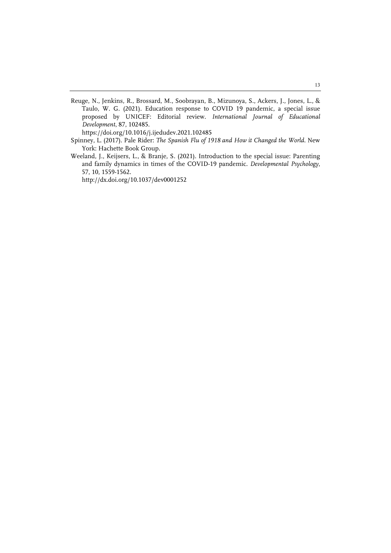Reuge, N., Jenkins, R., Brossard, M., Soobrayan, B., Mizunoya, S., Ackers, J., Jones, L., & Taulo, W. G. (2021). Education response to COVID 19 pandemic, a special issue proposed by UNICEF: Editorial review. *International Journal of Educational Development*, 87, 102485.

https://doi.org/10.1016/j.ijedudev.2021.102485

- Spinney, L. (2017). Pale Rider: *The Spanish Flu of 1918 and How it Changed the World*. New York: Hachette Book Group.
- Weeland, J., Keijsers, L., & Branje, S. (2021). Introduction to the special issue: Parenting and family dynamics in times of the COVID-19 pandemic. *Developmental Psychology*, 57, 10, 1559-1562.

http://dx.doi.org/10.1037/dev0001252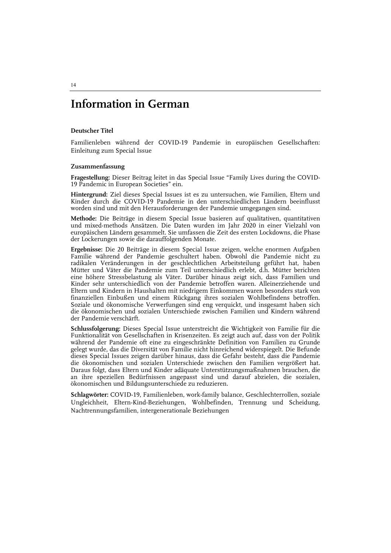## **Information in German**

#### **Deutscher Titel**

Familienleben während der COVID-19 Pandemie in europäischen Gesellschaften: Einleitung zum Special Issue

#### **Zusammenfassung**

**Fragestellung:** Dieser Beitrag leitet in das Special Issue "Family Lives during the COVID-19 Pandemic in European Societies" ein.

**Hintergrund:** Ziel dieses Special Issues ist es zu untersuchen, wie Familien, Eltern und Kinder durch die COVID-19 Pandemie in den unterschiedlichen Ländern beeinflusst worden sind und mit den Herausforderungen der Pandemie umgegangen sind.

**Methode:** Die Beiträge in diesem Special Issue basieren auf qualitativen, quantitativen und mixed-methods Ansätzen. Die Daten wurden im Jahr 2020 in einer Vielzahl von europäischen Ländern gesammelt. Sie umfassen die Zeit des ersten Lockdowns, die Phase der Lockerungen sowie die darauffolgenden Monate.

**Ergebnisse:** Die 20 Beiträge in diesem Special Issue zeigen, welche enormen Aufgaben Familie während der Pandemie geschultert haben. Obwohl die Pandemie nicht zu radikalen Veränderungen in der geschlechtlichen Arbeitsteilung geführt hat, haben Mütter und Väter die Pandemie zum Teil unterschiedlich erlebt, d.h. Mütter berichten eine höhere Stressbelastung als Väter. Darüber hinaus zeigt sich, dass Familien und Kinder sehr unterschiedlich von der Pandemie betroffen waren. Alleinerziehende und Eltern und Kindern in Haushalten mit niedrigem Einkommen waren besonders stark von finanziellen Einbußen und einem Rückgang ihres sozialen Wohlbefindens betroffen. Soziale und ökonomische Verwerfungen sind eng verquickt, und insgesamt haben sich die ökonomischen und sozialen Unterschiede zwischen Familien und Kindern während der Pandemie verschärft.

**Schlussfolgerung:** Dieses Special Issue unterstreicht die Wichtigkeit von Familie für die Funktionalität von Gesellschaften in Krisenzeiten. Es zeigt auch auf, dass von der Politik während der Pandemie oft eine zu eingeschränkte Definition von Familien zu Grunde gelegt wurde, das die Diversität von Familie nicht hinreichend widerspiegelt. Die Befunde dieses Special Issues zeigen darüber hinaus, dass die Gefahr besteht, dass die Pandemie die ökonomischen und sozialen Unterschiede zwischen den Familien vergrößert hat. Daraus folgt, dass Eltern und Kinder adäquate Unterstützungsmaßnahmen brauchen, die an ihre speziellen Bedürfnissen angepasst sind und darauf abzielen, die sozialen, ökonomischen und Bildungsunterschiede zu reduzieren.

**Schlagwörter:** COVID-19, Familienleben, work-family balance, Geschlechterrollen, soziale Ungleichheit, Eltern-Kind-Beziehungen, Wohlbefinden, Trennung und Scheidung, Nachtrennungsfamilien, intergenerationale Beziehungen